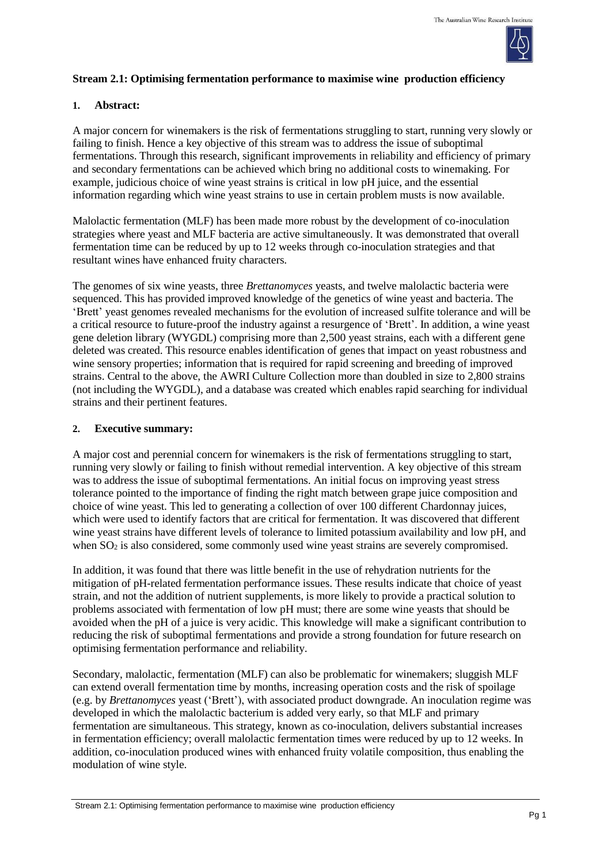

## **Stream 2.1: Optimising fermentation performance to maximise wine production efficiency**

### **1. Abstract:**

A major concern for winemakers is the risk of fermentations struggling to start, running very slowly or failing to finish. Hence a key objective of this stream was to address the issue of suboptimal fermentations. Through this research, significant improvements in reliability and efficiency of primary and secondary fermentations can be achieved which bring no additional costs to winemaking. For example, judicious choice of wine yeast strains is critical in low pH juice, and the essential information regarding which wine yeast strains to use in certain problem musts is now available.

Malolactic fermentation (MLF) has been made more robust by the development of co-inoculation strategies where yeast and MLF bacteria are active simultaneously. It was demonstrated that overall fermentation time can be reduced by up to 12 weeks through co-inoculation strategies and that resultant wines have enhanced fruity characters.

The genomes of six wine yeasts, three *Brettanomyces* yeasts, and twelve malolactic bacteria were sequenced. This has provided improved knowledge of the genetics of wine yeast and bacteria. The 'Brett' yeast genomes revealed mechanisms for the evolution of increased sulfite tolerance and will be a critical resource to future-proof the industry against a resurgence of 'Brett'. In addition, a wine yeast gene deletion library (WYGDL) comprising more than 2,500 yeast strains, each with a different gene deleted was created. This resource enables identification of genes that impact on yeast robustness and wine sensory properties; information that is required for rapid screening and breeding of improved strains. Central to the above, the AWRI Culture Collection more than doubled in size to 2,800 strains (not including the WYGDL), and a database was created which enables rapid searching for individual strains and their pertinent features.

#### **2. Executive summary:**

A major cost and perennial concern for winemakers is the risk of fermentations struggling to start, running very slowly or failing to finish without remedial intervention. A key objective of this stream was to address the issue of suboptimal fermentations. An initial focus on improving yeast stress tolerance pointed to the importance of finding the right match between grape juice composition and choice of wine yeast. This led to generating a collection of over 100 different Chardonnay juices, which were used to identify factors that are critical for fermentation. It was discovered that different wine yeast strains have different levels of tolerance to limited potassium availability and low pH, and when  $SO<sub>2</sub>$  is also considered, some commonly used wine yeast strains are severely compromised.

In addition, it was found that there was little benefit in the use of rehydration nutrients for the mitigation of pH-related fermentation performance issues. These results indicate that choice of yeast strain, and not the addition of nutrient supplements, is more likely to provide a practical solution to problems associated with fermentation of low pH must; there are some wine yeasts that should be avoided when the pH of a juice is very acidic. This knowledge will make a significant contribution to reducing the risk of suboptimal fermentations and provide a strong foundation for future research on optimising fermentation performance and reliability.

Secondary, malolactic, fermentation (MLF) can also be problematic for winemakers; sluggish MLF can extend overall fermentation time by months, increasing operation costs and the risk of spoilage (e.g. by *Brettanomyces* yeast ('Brett'), with associated product downgrade. An inoculation regime was developed in which the malolactic bacterium is added very early, so that MLF and primary fermentation are simultaneous. This strategy, known as co-inoculation, delivers substantial increases in fermentation efficiency; overall malolactic fermentation times were reduced by up to 12 weeks. In addition, co-inoculation produced wines with enhanced fruity volatile composition, thus enabling the modulation of wine style.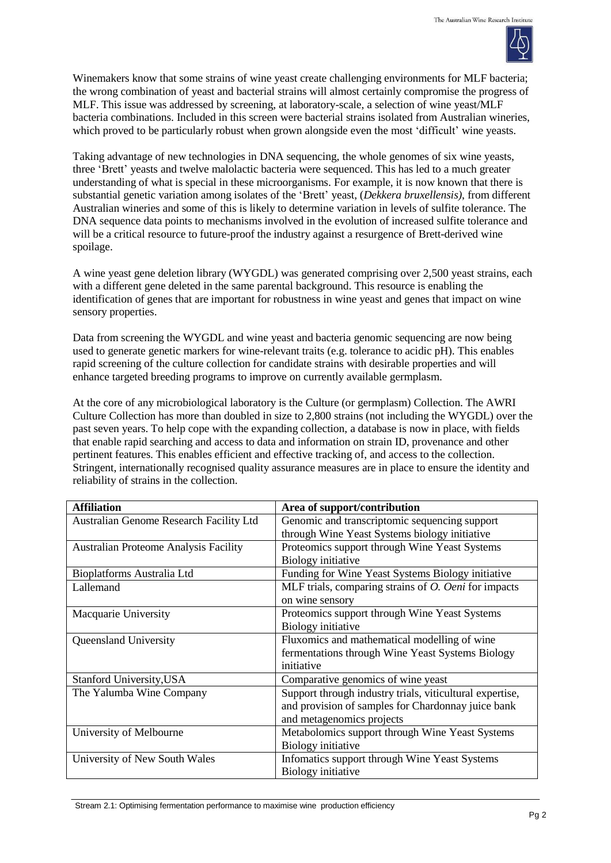

Winemakers know that some strains of wine yeast create challenging environments for MLF bacteria; the wrong combination of yeast and bacterial strains will almost certainly compromise the progress of MLF. This issue was addressed by screening, at laboratory-scale, a selection of wine yeast/MLF bacteria combinations. Included in this screen were bacterial strains isolated from Australian wineries, which proved to be particularly robust when grown alongside even the most 'difficult' wine yeasts.

Taking advantage of new technologies in DNA sequencing, the whole genomes of six wine yeasts, three 'Brett' yeasts and twelve malolactic bacteria were sequenced. This has led to a much greater understanding of what is special in these microorganisms. For example, it is now known that there is substantial genetic variation among isolates of the 'Brett' yeast, (*Dekkera bruxellensis)*, from different Australian wineries and some of this is likely to determine variation in levels of sulfite tolerance. The DNA sequence data points to mechanisms involved in the evolution of increased sulfite tolerance and will be a critical resource to future-proof the industry against a resurgence of Brett-derived wine spoilage.

A wine yeast gene deletion library (WYGDL) was generated comprising over 2,500 yeast strains, each with a different gene deleted in the same parental background. This resource is enabling the identification of genes that are important for robustness in wine yeast and genes that impact on wine sensory properties.

Data from screening the WYGDL and wine yeast and bacteria genomic sequencing are now being used to generate genetic markers for wine-relevant traits (e.g. tolerance to acidic pH). This enables rapid screening of the culture collection for candidate strains with desirable properties and will enhance targeted breeding programs to improve on currently available germplasm.

At the core of any microbiological laboratory is the Culture (or germplasm) Collection. The AWRI Culture Collection has more than doubled in size to 2,800 strains (not including the WYGDL) over the past seven years. To help cope with the expanding collection, a database is now in place, with fields that enable rapid searching and access to data and information on strain ID, provenance and other pertinent features. This enables efficient and effective tracking of, and access to the collection. Stringent, internationally recognised quality assurance measures are in place to ensure the identity and reliability of strains in the collection.

| <b>Affiliation</b>                           | Area of support/contribution                                |  |
|----------------------------------------------|-------------------------------------------------------------|--|
| Australian Genome Research Facility Ltd      | Genomic and transcriptomic sequencing support               |  |
|                                              | through Wine Yeast Systems biology initiative               |  |
| <b>Australian Proteome Analysis Facility</b> | Proteomics support through Wine Yeast Systems               |  |
|                                              | Biology initiative                                          |  |
| <b>Bioplatforms Australia Ltd</b>            | Funding for Wine Yeast Systems Biology initiative           |  |
| Lallemand                                    | MLF trials, comparing strains of <i>O. Oeni</i> for impacts |  |
|                                              | on wine sensory                                             |  |
| Macquarie University                         | Proteomics support through Wine Yeast Systems               |  |
|                                              | Biology initiative                                          |  |
| Queensland University                        | Fluxomics and mathematical modelling of wine                |  |
|                                              | fermentations through Wine Yeast Systems Biology            |  |
|                                              | initiative                                                  |  |
| <b>Stanford University, USA</b>              | Comparative genomics of wine yeast                          |  |
| The Yalumba Wine Company                     | Support through industry trials, viticultural expertise,    |  |
|                                              | and provision of samples for Chardonnay juice bank          |  |
|                                              | and metagenomics projects                                   |  |
| University of Melbourne                      | Metabolomics support through Wine Yeast Systems             |  |
|                                              | Biology initiative                                          |  |
| University of New South Wales                | Infomatics support through Wine Yeast Systems               |  |
|                                              | Biology initiative                                          |  |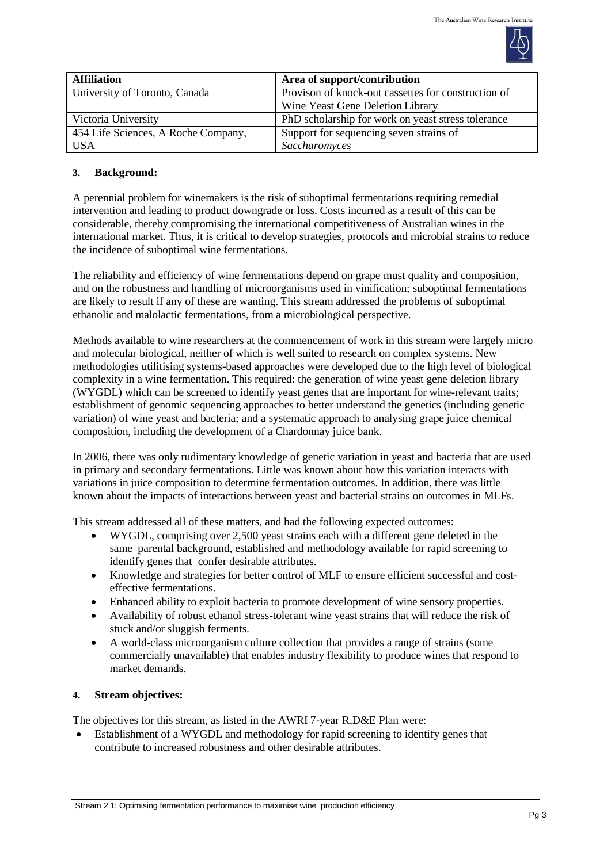

| <b>Affiliation</b>                  | Area of support/contribution                        |  |
|-------------------------------------|-----------------------------------------------------|--|
| University of Toronto, Canada       | Provison of knock-out cassettes for construction of |  |
|                                     | Wine Yeast Gene Deletion Library                    |  |
| Victoria University                 | PhD scholarship for work on yeast stress tolerance  |  |
| 454 Life Sciences, A Roche Company, | Support for sequencing seven strains of             |  |
| USA                                 | Saccharomyces                                       |  |

# **3. Background:**

A perennial problem for winemakers is the risk of suboptimal fermentations requiring remedial intervention and leading to product downgrade or loss. Costs incurred as a result of this can be considerable, thereby compromising the international competitiveness of Australian wines in the international market. Thus, it is critical to develop strategies, protocols and microbial strains to reduce the incidence of suboptimal wine fermentations.

The reliability and efficiency of wine fermentations depend on grape must quality and composition, and on the robustness and handling of microorganisms used in vinification; suboptimal fermentations are likely to result if any of these are wanting. This stream addressed the problems of suboptimal ethanolic and malolactic fermentations, from a microbiological perspective.

Methods available to wine researchers at the commencement of work in this stream were largely micro and molecular biological, neither of which is well suited to research on complex systems. New methodologies utilitising systems-based approaches were developed due to the high level of biological complexity in a wine fermentation. This required: the generation of wine yeast gene deletion library (WYGDL) which can be screened to identify yeast genes that are important for wine-relevant traits; establishment of genomic sequencing approaches to better understand the genetics (including genetic variation) of wine yeast and bacteria; and a systematic approach to analysing grape juice chemical composition, including the development of a Chardonnay juice bank.

In 2006, there was only rudimentary knowledge of genetic variation in yeast and bacteria that are used in primary and secondary fermentations. Little was known about how this variation interacts with variations in juice composition to determine fermentation outcomes. In addition, there was little known about the impacts of interactions between yeast and bacterial strains on outcomes in MLFs.

This stream addressed all of these matters, and had the following expected outcomes:

- WYGDL, comprising over 2,500 yeast strains each with a different gene deleted in the same parental background, established and methodology available for rapid screening to identify genes that confer desirable attributes.
- Knowledge and strategies for better control of MLF to ensure efficient successful and costeffective fermentations.
- Enhanced ability to exploit bacteria to promote development of wine sensory properties.
- Availability of robust ethanol stress-tolerant wine yeast strains that will reduce the risk of stuck and/or sluggish ferments.
- A world-class microorganism culture collection that provides a range of strains (some commercially unavailable) that enables industry flexibility to produce wines that respond to market demands.

## **4. Stream objectives:**

The objectives for this stream, as listed in the AWRI 7-year R,D&E Plan were:

 Establishment of a WYGDL and methodology for rapid screening to identify genes that contribute to increased robustness and other desirable attributes.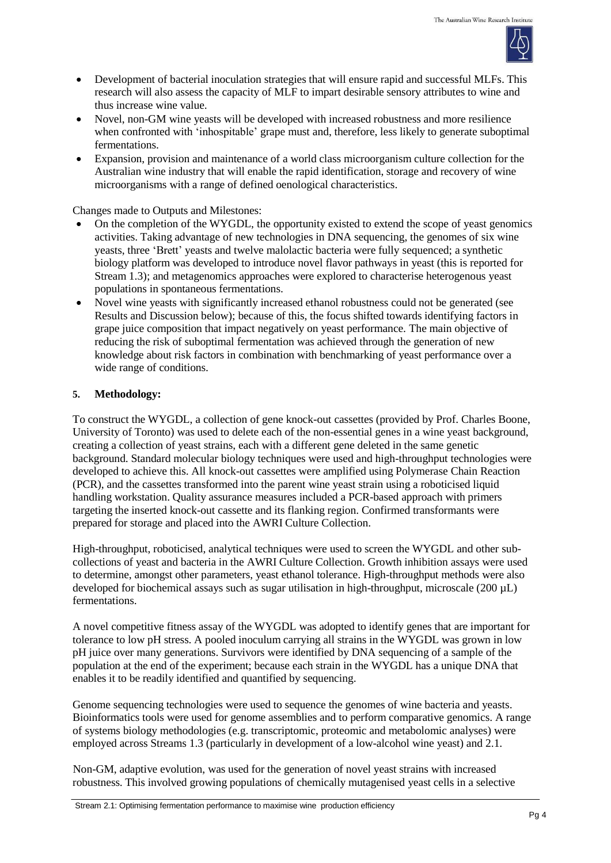

- Development of bacterial inoculation strategies that will ensure rapid and successful MLFs. This research will also assess the capacity of MLF to impart desirable sensory attributes to wine and thus increase wine value.
- Novel, non-GM wine yeasts will be developed with increased robustness and more resilience when confronted with 'inhospitable' grape must and, therefore, less likely to generate suboptimal fermentations.
- Expansion, provision and maintenance of a world class microorganism culture collection for the Australian wine industry that will enable the rapid identification, storage and recovery of wine microorganisms with a range of defined oenological characteristics.

Changes made to Outputs and Milestones:

- On the completion of the WYGDL, the opportunity existed to extend the scope of yeast genomics activities. Taking advantage of new technologies in DNA sequencing, the genomes of six wine yeasts, three 'Brett' yeasts and twelve malolactic bacteria were fully sequenced; a synthetic biology platform was developed to introduce novel flavor pathways in yeast (this is reported for Stream 1.3); and metagenomics approaches were explored to characterise heterogenous yeast populations in spontaneous fermentations.
- Novel wine yeasts with significantly increased ethanol robustness could not be generated (see Results and Discussion below); because of this, the focus shifted towards identifying factors in grape juice composition that impact negatively on yeast performance. The main objective of reducing the risk of suboptimal fermentation was achieved through the generation of new knowledge about risk factors in combination with benchmarking of yeast performance over a wide range of conditions.

### **5. Methodology:**

To construct the WYGDL, a collection of gene knock-out cassettes (provided by Prof. Charles Boone, University of Toronto) was used to delete each of the non-essential genes in a wine yeast background, creating a collection of yeast strains, each with a different gene deleted in the same genetic background. Standard molecular biology techniques were used and high-throughput technologies were developed to achieve this. All knock-out cassettes were amplified using Polymerase Chain Reaction (PCR), and the cassettes transformed into the parent wine yeast strain using a roboticised liquid handling workstation. Quality assurance measures included a PCR-based approach with primers targeting the inserted knock-out cassette and its flanking region. Confirmed transformants were prepared for storage and placed into the AWRI Culture Collection.

High-throughput, roboticised, analytical techniques were used to screen the WYGDL and other subcollections of yeast and bacteria in the AWRI Culture Collection. Growth inhibition assays were used to determine, amongst other parameters, yeast ethanol tolerance. High-throughput methods were also developed for biochemical assays such as sugar utilisation in high-throughput, microscale (200 µL) fermentations.

A novel competitive fitness assay of the WYGDL was adopted to identify genes that are important for tolerance to low pH stress. A pooled inoculum carrying all strains in the WYGDL was grown in low pH juice over many generations. Survivors were identified by DNA sequencing of a sample of the population at the end of the experiment; because each strain in the WYGDL has a unique DNA that enables it to be readily identified and quantified by sequencing.

Genome sequencing technologies were used to sequence the genomes of wine bacteria and yeasts. Bioinformatics tools were used for genome assemblies and to perform comparative genomics. A range of systems biology methodologies (e.g. transcriptomic, proteomic and metabolomic analyses) were employed across Streams 1.3 (particularly in development of a low-alcohol wine yeast) and 2.1.

Non-GM, adaptive evolution, was used for the generation of novel yeast strains with increased robustness. This involved growing populations of chemically mutagenised yeast cells in a selective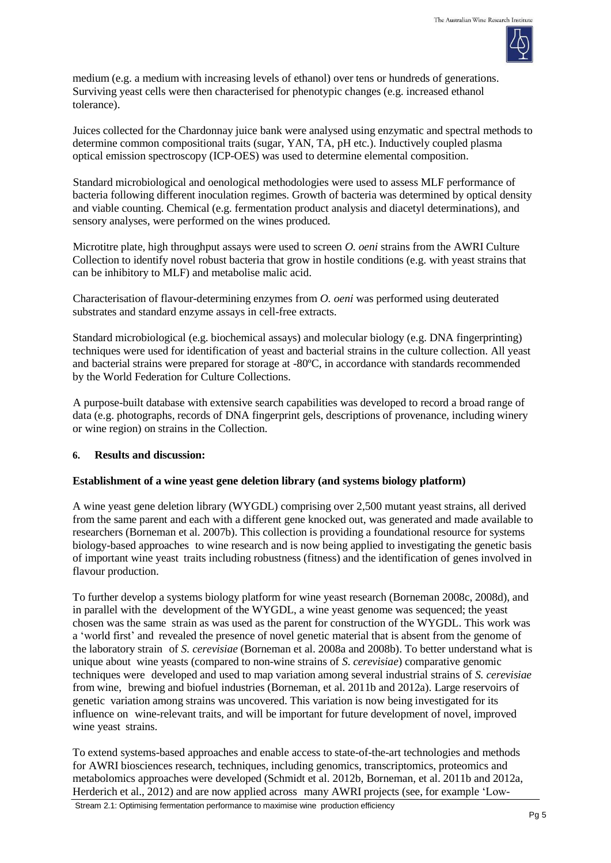

medium (e.g. a medium with increasing levels of ethanol) over tens or hundreds of generations. Surviving yeast cells were then characterised for phenotypic changes (e.g. increased ethanol tolerance).

Juices collected for the Chardonnay juice bank were analysed using enzymatic and spectral methods to determine common compositional traits (sugar, YAN, TA, pH etc.). Inductively coupled plasma optical emission spectroscopy (ICP-OES) was used to determine elemental composition.

Standard microbiological and oenological methodologies were used to assess MLF performance of bacteria following different inoculation regimes. Growth of bacteria was determined by optical density and viable counting. Chemical (e.g. fermentation product analysis and diacetyl determinations), and sensory analyses, were performed on the wines produced.

Microtitre plate, high throughput assays were used to screen *O. oeni* strains from the AWRI Culture Collection to identify novel robust bacteria that grow in hostile conditions (e.g. with yeast strains that can be inhibitory to MLF) and metabolise malic acid.

Characterisation of flavour-determining enzymes from *O. oeni* was performed using deuterated substrates and standard enzyme assays in cell-free extracts.

Standard microbiological (e.g. biochemical assays) and molecular biology (e.g. DNA fingerprinting) techniques were used for identification of yeast and bacterial strains in the culture collection. All yeast and bacterial strains were prepared for storage at -80ºC, in accordance with standards recommended by the World Federation for Culture Collections.

A purpose-built database with extensive search capabilities was developed to record a broad range of data (e.g. photographs, records of DNA fingerprint gels, descriptions of provenance, including winery or wine region) on strains in the Collection.

### **6. Results and discussion:**

### **Establishment of a wine yeast gene deletion library (and systems biology platform)**

A wine yeast gene deletion library (WYGDL) comprising over 2,500 mutant yeast strains, all derived from the same parent and each with a different gene knocked out, was generated and made available to researchers (Borneman et al. 2007b). This collection is providing a foundational resource for systems biology-based approaches to wine research and is now being applied to investigating the genetic basis of important wine yeast traits including robustness (fitness) and the identification of genes involved in flavour production.

To further develop a systems biology platform for wine yeast research (Borneman 2008c, 2008d), and in parallel with the development of the WYGDL, a wine yeast genome was sequenced; the yeast chosen was the same strain as was used as the parent for construction of the WYGDL. This work was a 'world first' and revealed the presence of novel genetic material that is absent from the genome of the laboratory strain of *S. cerevisiae* (Borneman et al. 2008a and 2008b). To better understand what is unique about wine yeasts (compared to non-wine strains of *S. cerevisiae*) comparative genomic techniques were developed and used to map variation among several industrial strains of *S. cerevisiae* from wine, brewing and biofuel industries (Borneman, et al. 2011b and 2012a). Large reservoirs of genetic variation among strains was uncovered. This variation is now being investigated for its influence on wine-relevant traits, and will be important for future development of novel, improved wine yeast strains.

To extend systems-based approaches and enable access to state-of-the-art technologies and methods for AWRI biosciences research, techniques, including genomics, transcriptomics, proteomics and metabolomics approaches were developed (Schmidt et al. 2012b, Borneman, et al. 2011b and 2012a, Herderich et al., 2012) and are now applied across many AWRI projects (see, for example 'Low-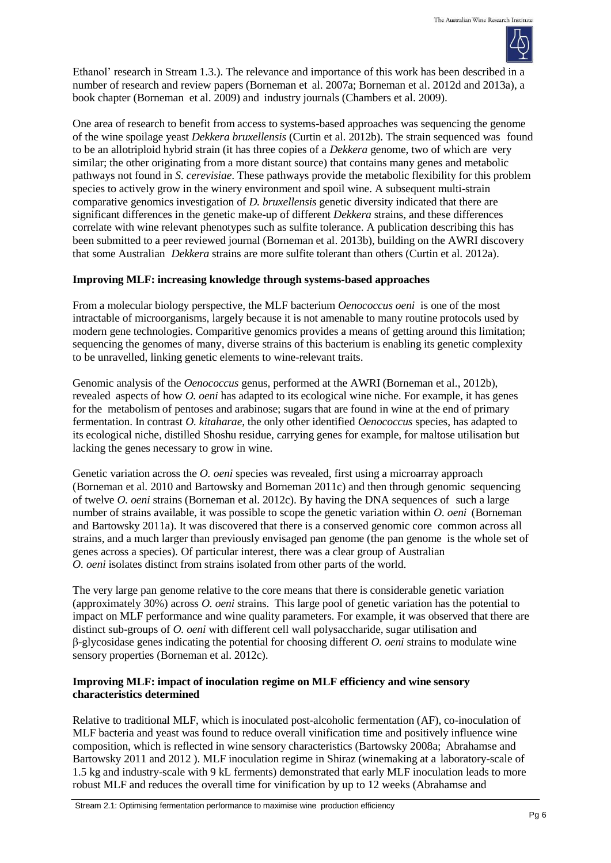

Ethanol' research in Stream 1.3.). The relevance and importance of this work has been described in a number of research and review papers (Borneman et al. 2007a; Borneman et al. 2012d and 2013a), a book chapter (Borneman et al. 2009) and industry journals (Chambers et al. 2009).

One area of research to benefit from access to systems-based approaches was sequencing the genome of the wine spoilage yeast *Dekkera bruxellensis* (Curtin et al. 2012b). The strain sequenced was found to be an allotriploid hybrid strain (it has three copies of a *Dekkera* genome, two of which are very similar; the other originating from a more distant source) that contains many genes and metabolic pathways not found in *S. cerevisiae*. These pathways provide the metabolic flexibility for this problem species to actively grow in the winery environment and spoil wine. A subsequent multi-strain comparative genomics investigation of *D. bruxellensis* genetic diversity indicated that there are significant differences in the genetic make-up of different *Dekkera* strains, and these differences correlate with wine relevant phenotypes such as sulfite tolerance. A publication describing this has been submitted to a peer reviewed journal (Borneman et al. 2013b), building on the AWRI discovery that some Australian *Dekkera* strains are more sulfite tolerant than others (Curtin et al. 2012a).

## **Improving MLF: increasing knowledge through systems-based approaches**

From a molecular biology perspective, the MLF bacterium *Oenococcus oeni* is one of the most intractable of microorganisms, largely because it is not amenable to many routine protocols used by modern gene technologies. Comparitive genomics provides a means of getting around this limitation; sequencing the genomes of many, diverse strains of this bacterium is enabling its genetic complexity to be unravelled, linking genetic elements to wine-relevant traits.

Genomic analysis of the *Oenococcus* genus, performed at the AWRI (Borneman et al., 2012b), revealed aspects of how *O. oeni* has adapted to its ecological wine niche. For example, it has genes for the metabolism of pentoses and arabinose; sugars that are found in wine at the end of primary fermentation. In contrast *O. kitaharae*, the only other identified *Oenococcus* species, has adapted to its ecological niche, distilled Shoshu residue, carrying genes for example, for maltose utilisation but lacking the genes necessary to grow in wine.

Genetic variation across the *O. oeni* species was revealed, first using a microarray approach (Borneman et al. 2010 and Bartowsky and Borneman 2011c) and then through genomic sequencing of twelve *O. oeni* strains (Borneman et al. 2012c). By having the DNA sequences of such a large number of strains available, it was possible to scope the genetic variation within *O. oeni* (Borneman and Bartowsky 2011a). It was discovered that there is a conserved genomic core common across all strains, and a much larger than previously envisaged pan genome (the pan genome is the whole set of genes across a species). Of particular interest, there was a clear group of Australian *O. oeni* isolates distinct from strains isolated from other parts of the world.

The very large pan genome relative to the core means that there is considerable genetic variation (approximately 30%) across *O. oeni* strains. This large pool of genetic variation has the potential to impact on MLF performance and wine quality parameters. For example, it was observed that there are distinct sub-groups of *O. oeni* with different cell wall polysaccharide, sugar utilisation and β-glycosidase genes indicating the potential for choosing different *O. oeni* strains to modulate wine sensory properties (Borneman et al. 2012c).

## **Improving MLF: impact of inoculation regime on MLF efficiency and wine sensory characteristics determined**

Relative to traditional MLF, which is inoculated post-alcoholic fermentation (AF), co-inoculation of MLF bacteria and yeast was found to reduce overall vinification time and positively influence wine composition, which is reflected in wine sensory characteristics (Bartowsky 2008a; Abrahamse and Bartowsky 2011 and 2012 ). MLF inoculation regime in Shiraz (winemaking at a laboratory-scale of 1.5 kg and industry-scale with 9 kL ferments) demonstrated that early MLF inoculation leads to more robust MLF and reduces the overall time for vinification by up to 12 weeks (Abrahamse and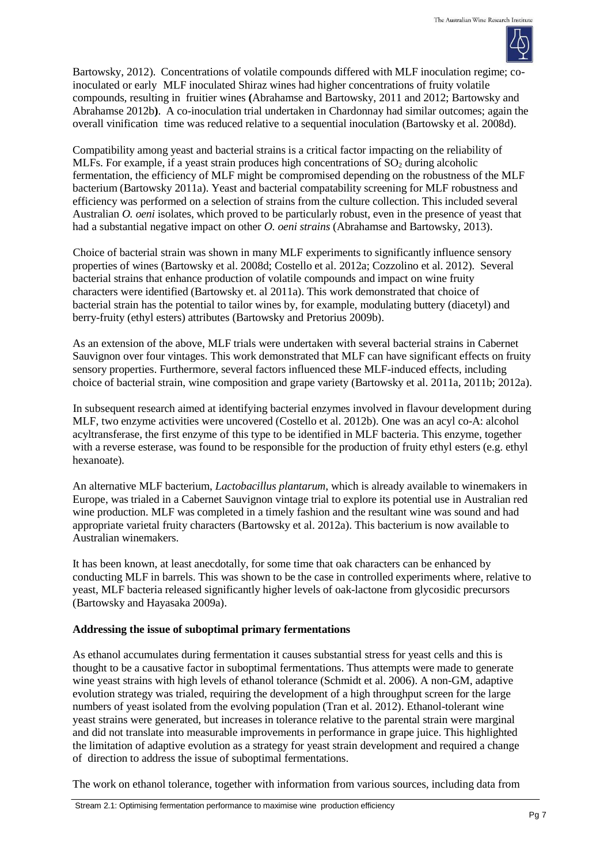

Bartowsky, 2012). Concentrations of volatile compounds differed with MLF inoculation regime; coinoculated or early MLF inoculated Shiraz wines had higher concentrations of fruity volatile compounds, resulting in fruitier wines **(**Abrahamse and Bartowsky, 2011 and 2012; Bartowsky and Abrahamse 2012b**)**. A co-inoculation trial undertaken in Chardonnay had similar outcomes; again the overall vinification time was reduced relative to a sequential inoculation (Bartowsky et al. 2008d).

Compatibility among yeast and bacterial strains is a critical factor impacting on the reliability of MLFs. For example, if a yeast strain produces high concentrations of  $SO<sub>2</sub>$  during alcoholic fermentation, the efficiency of MLF might be compromised depending on the robustness of the MLF bacterium (Bartowsky 2011a). Yeast and bacterial compatability screening for MLF robustness and efficiency was performed on a selection of strains from the culture collection. This included several Australian *O. oeni* isolates, which proved to be particularly robust, even in the presence of yeast that had a substantial negative impact on other *O. oeni strains* (Abrahamse and Bartowsky, 2013).

Choice of bacterial strain was shown in many MLF experiments to significantly influence sensory properties of wines (Bartowsky et al. 2008d; Costello et al. 2012a; Cozzolino et al. 2012). Several bacterial strains that enhance production of volatile compounds and impact on wine fruity characters were identified (Bartowsky et. al 2011a). This work demonstrated that choice of bacterial strain has the potential to tailor wines by, for example, modulating buttery (diacetyl) and berry-fruity (ethyl esters) attributes (Bartowsky and Pretorius 2009b).

As an extension of the above, MLF trials were undertaken with several bacterial strains in Cabernet Sauvignon over four vintages. This work demonstrated that MLF can have significant effects on fruity sensory properties. Furthermore, several factors influenced these MLF-induced effects, including choice of bacterial strain, wine composition and grape variety (Bartowsky et al. 2011a, 2011b; 2012a).

In subsequent research aimed at identifying bacterial enzymes involved in flavour development during MLF, two enzyme activities were uncovered (Costello et al. 2012b). One was an acyl co-A: alcohol acyltransferase, the first enzyme of this type to be identified in MLF bacteria. This enzyme, together with a reverse esterase, was found to be responsible for the production of fruity ethyl esters (e.g. ethyl hexanoate).

An alternative MLF bacterium, *Lactobacillus plantarum*, which is already available to winemakers in Europe, was trialed in a Cabernet Sauvignon vintage trial to explore its potential use in Australian red wine production. MLF was completed in a timely fashion and the resultant wine was sound and had appropriate varietal fruity characters (Bartowsky et al. 2012a). This bacterium is now available to Australian winemakers.

It has been known, at least anecdotally, for some time that oak characters can be enhanced by conducting MLF in barrels. This was shown to be the case in controlled experiments where, relative to yeast, MLF bacteria released significantly higher levels of oak-lactone from glycosidic precursors (Bartowsky and Hayasaka 2009a).

## **Addressing the issue of suboptimal primary fermentations**

As ethanol accumulates during fermentation it causes substantial stress for yeast cells and this is thought to be a causative factor in suboptimal fermentations. Thus attempts were made to generate wine yeast strains with high levels of ethanol tolerance (Schmidt et al. 2006). A non-GM, adaptive evolution strategy was trialed, requiring the development of a high throughput screen for the large numbers of yeast isolated from the evolving population (Tran et al. 2012). Ethanol-tolerant wine yeast strains were generated, but increases in tolerance relative to the parental strain were marginal and did not translate into measurable improvements in performance in grape juice. This highlighted the limitation of adaptive evolution as a strategy for yeast strain development and required a change of direction to address the issue of suboptimal fermentations.

The work on ethanol tolerance, together with information from various sources, including data from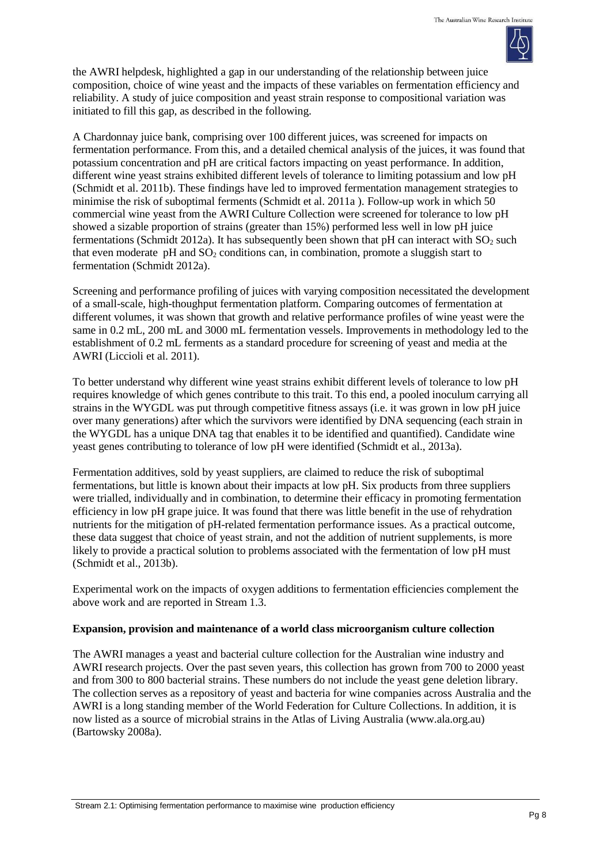

the AWRI helpdesk, highlighted a gap in our understanding of the relationship between juice composition, choice of wine yeast and the impacts of these variables on fermentation efficiency and reliability. A study of juice composition and yeast strain response to compositional variation was initiated to fill this gap, as described in the following.

A Chardonnay juice bank, comprising over 100 different juices, was screened for impacts on fermentation performance. From this, and a detailed chemical analysis of the juices, it was found that potassium concentration and pH are critical factors impacting on yeast performance. In addition, different wine yeast strains exhibited different levels of tolerance to limiting potassium and low pH (Schmidt et al. 2011b). These findings have led to improved fermentation management strategies to minimise the risk of suboptimal ferments (Schmidt et al. 2011a ). Follow-up work in which 50 commercial wine yeast from the AWRI Culture Collection were screened for tolerance to low pH showed a sizable proportion of strains (greater than 15%) performed less well in low pH juice fermentations (Schmidt 2012a). It has subsequently been shown that  $pH$  can interact with  $SO_2$  such that even moderate pH and  $SO<sub>2</sub>$  conditions can, in combination, promote a sluggish start to fermentation (Schmidt 2012a).

Screening and performance profiling of juices with varying composition necessitated the development of a small-scale, high-thoughput fermentation platform. Comparing outcomes of fermentation at different volumes, it was shown that growth and relative performance profiles of wine yeast were the same in 0.2 mL, 200 mL and 3000 mL fermentation vessels. Improvements in methodology led to the establishment of 0.2 mL ferments as a standard procedure for screening of yeast and media at the AWRI (Liccioli et al. 2011).

To better understand why different wine yeast strains exhibit different levels of tolerance to low pH requires knowledge of which genes contribute to this trait. To this end, a pooled inoculum carrying all strains in the WYGDL was put through competitive fitness assays (i.e. it was grown in low pH juice over many generations) after which the survivors were identified by DNA sequencing (each strain in the WYGDL has a unique DNA tag that enables it to be identified and quantified). Candidate wine yeast genes contributing to tolerance of low pH were identified (Schmidt et al., 2013a).

Fermentation additives, sold by yeast suppliers, are claimed to reduce the risk of suboptimal fermentations, but little is known about their impacts at low pH. Six products from three suppliers were trialled, individually and in combination, to determine their efficacy in promoting fermentation efficiency in low pH grape juice. It was found that there was little benefit in the use of rehydration nutrients for the mitigation of pH-related fermentation performance issues. As a practical outcome, these data suggest that choice of yeast strain, and not the addition of nutrient supplements, is more likely to provide a practical solution to problems associated with the fermentation of low pH must (Schmidt et al., 2013b).

Experimental work on the impacts of oxygen additions to fermentation efficiencies complement the above work and are reported in Stream 1.3.

## **Expansion, provision and maintenance of a world class microorganism culture collection**

The AWRI manages a yeast and bacterial culture collection for the Australian wine industry and AWRI research projects. Over the past seven years, this collection has grown from 700 to 2000 yeast and from 300 to 800 bacterial strains. These numbers do not include the yeast gene deletion library. The collection serves as a repository of yeast and bacteria for wine companies across Australia and the AWRI is a long standing member of the World Federation for Culture Collections. In addition, it is now listed as a source of microbial strains in the Atlas of Living Australia (www.ala.org.au) (Bartowsky 2008a).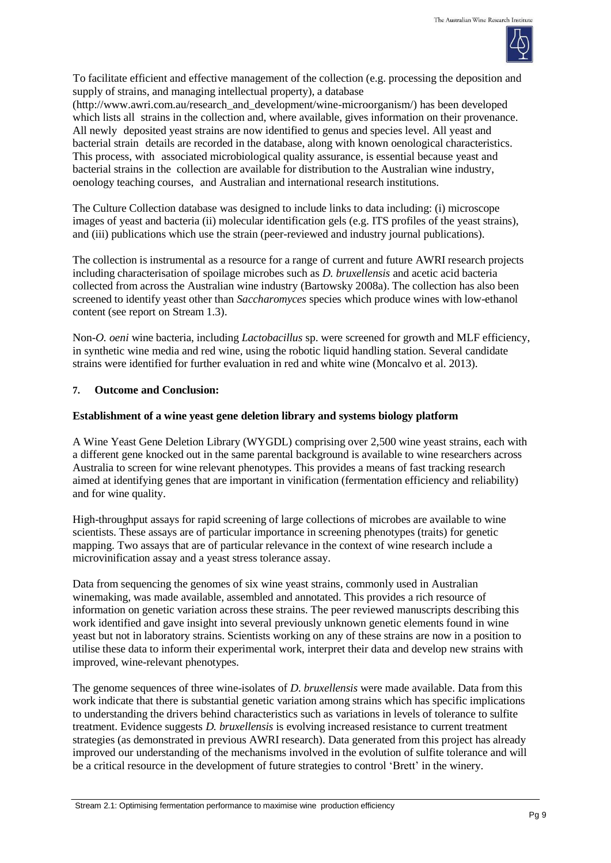

To facilitate efficient and effective management of the collection (e.g. processing the deposition and supply of strains, and managing intellectual property), a database

[\(http://www.awri.com.au/research\\_and\\_development/wine-microorganism/\)](http://www.awri.com.au/research_and_development/wine-microorganism/) has been developed which lists all strains in the collection and, where available, gives information on their provenance. All newly deposited yeast strains are now identified to genus and species level. All yeast and bacterial strain details are recorded in the database, along with known oenological characteristics. This process, with associated microbiological quality assurance, is essential because yeast and bacterial strains in the collection are available for distribution to the Australian wine industry, oenology teaching courses, and Australian and international research institutions.

The Culture Collection database was designed to include links to data including: (i) microscope images of yeast and bacteria (ii) molecular identification gels (e.g. ITS profiles of the yeast strains), and (iii) publications which use the strain (peer-reviewed and industry journal publications).

The collection is instrumental as a resource for a range of current and future AWRI research projects including characterisation of spoilage microbes such as *D. bruxellensis* and acetic acid bacteria collected from across the Australian wine industry (Bartowsky 2008a). The collection has also been screened to identify yeast other than *Saccharomyces* species which produce wines with low-ethanol content (see report on Stream 1.3).

Non-*O. oeni* wine bacteria, including *Lactobacillus* sp. were screened for growth and MLF efficiency, in synthetic wine media and red wine, using the robotic liquid handling station. Several candidate strains were identified for further evaluation in red and white wine (Moncalvo et al. 2013).

## **7. Outcome and Conclusion:**

## **Establishment of a wine yeast gene deletion library and systems biology platform**

A Wine Yeast Gene Deletion Library (WYGDL) comprising over 2,500 wine yeast strains, each with a different gene knocked out in the same parental background is available to wine researchers across Australia to screen for wine relevant phenotypes. This provides a means of fast tracking research aimed at identifying genes that are important in vinification (fermentation efficiency and reliability) and for wine quality.

High-throughput assays for rapid screening of large collections of microbes are available to wine scientists. These assays are of particular importance in screening phenotypes (traits) for genetic mapping. Two assays that are of particular relevance in the context of wine research include a microvinification assay and a yeast stress tolerance assay.

Data from sequencing the genomes of six wine yeast strains, commonly used in Australian winemaking, was made available, assembled and annotated. This provides a rich resource of information on genetic variation across these strains. The peer reviewed manuscripts describing this work identified and gave insight into several previously unknown genetic elements found in wine yeast but not in laboratory strains. Scientists working on any of these strains are now in a position to utilise these data to inform their experimental work, interpret their data and develop new strains with improved, wine-relevant phenotypes.

The genome sequences of three wine-isolates of *D. bruxellensis* were made available. Data from this work indicate that there is substantial genetic variation among strains which has specific implications to understanding the drivers behind characteristics such as variations in levels of tolerance to sulfite treatment. Evidence suggests *D. bruxellensis* is evolving increased resistance to current treatment strategies (as demonstrated in previous AWRI research). Data generated from this project has already improved our understanding of the mechanisms involved in the evolution of sulfite tolerance and will be a critical resource in the development of future strategies to control 'Brett' in the winery.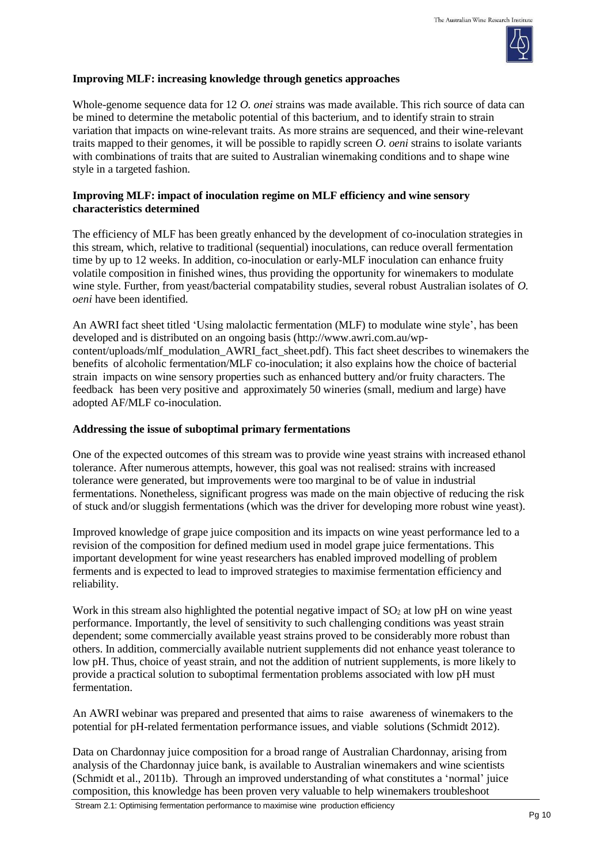

### **Improving MLF: increasing knowledge through genetics approaches**

Whole-genome sequence data for 12 *O. onei* strains was made available. This rich source of data can be mined to determine the metabolic potential of this bacterium, and to identify strain to strain variation that impacts on wine-relevant traits. As more strains are sequenced, and their wine-relevant traits mapped to their genomes, it will be possible to rapidly screen *O. oeni* strains to isolate variants with combinations of traits that are suited to Australian winemaking conditions and to shape wine style in a targeted fashion.

### **Improving MLF: impact of inoculation regime on MLF efficiency and wine sensory characteristics determined**

The efficiency of MLF has been greatly enhanced by the development of co-inoculation strategies in this stream, which, relative to traditional (sequential) inoculations, can reduce overall fermentation time by up to 12 weeks. In addition, co-inoculation or early-MLF inoculation can enhance fruity volatile composition in finished wines, thus providing the opportunity for winemakers to modulate wine style. Further, from yeast/bacterial compatability studies, several robust Australian isolates of *O. oeni* have been identified.

An AWRI fact sheet titled 'Using malolactic fermentation (MLF) to modulate wine style', has been developed and is distributed on an ongoing basis (http://www.awri.com.au/wpcontent/uploads/mlf\_modulation\_AWRI\_fact\_sheet.pdf). This fact sheet describes to winemakers the benefits of alcoholic fermentation/MLF co-inoculation; it also explains how the choice of bacterial strain impacts on wine sensory properties such as enhanced buttery and/or fruity characters. The feedback has been very positive and approximately 50 wineries (small, medium and large) have adopted AF/MLF co-inoculation.

## **Addressing the issue of suboptimal primary fermentations**

One of the expected outcomes of this stream was to provide wine yeast strains with increased ethanol tolerance. After numerous attempts, however, this goal was not realised: strains with increased tolerance were generated, but improvements were too marginal to be of value in industrial fermentations. Nonetheless, significant progress was made on the main objective of reducing the risk of stuck and/or sluggish fermentations (which was the driver for developing more robust wine yeast).

Improved knowledge of grape juice composition and its impacts on wine yeast performance led to a revision of the composition for defined medium used in model grape juice fermentations. This important development for wine yeast researchers has enabled improved modelling of problem ferments and is expected to lead to improved strategies to maximise fermentation efficiency and reliability.

Work in this stream also highlighted the potential negative impact of  $SO<sub>2</sub>$  at low pH on wine yeast performance. Importantly, the level of sensitivity to such challenging conditions was yeast strain dependent; some commercially available yeast strains proved to be considerably more robust than others. In addition, commercially available nutrient supplements did not enhance yeast tolerance to low pH. Thus, choice of yeast strain, and not the addition of nutrient supplements, is more likely to provide a practical solution to suboptimal fermentation problems associated with low pH must fermentation.

An AWRI webinar was prepared and presented that aims to raise awareness of winemakers to the potential for pH-related fermentation performance issues, and viable solutions (Schmidt 2012).

Data on Chardonnay juice composition for a broad range of Australian Chardonnay, arising from analysis of the Chardonnay juice bank, is available to Australian winemakers and wine scientists (Schmidt et al., 2011b). Through an improved understanding of what constitutes a 'normal' juice composition, this knowledge has been proven very valuable to help winemakers troubleshoot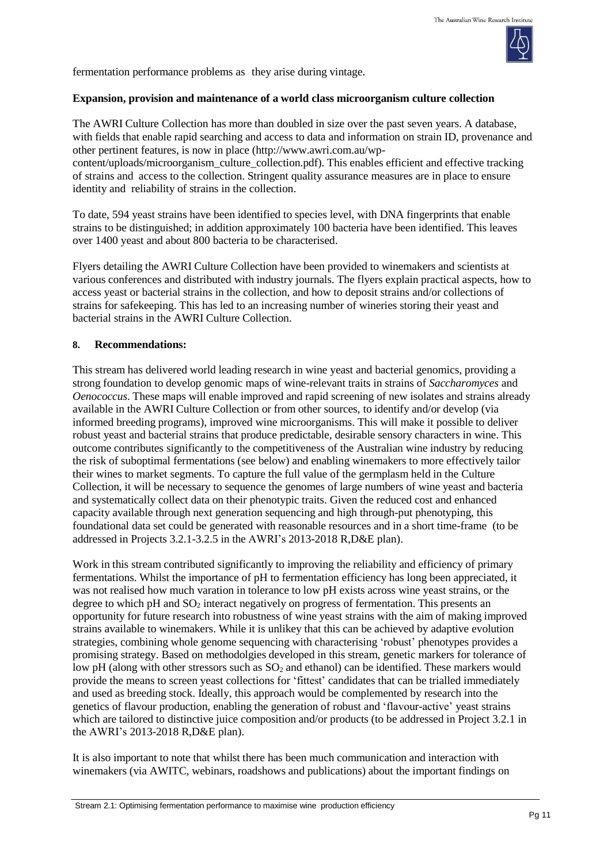

fermentation performance problems as they arise during vintage.

### **Expansion, provision and maintenance of a world class microorganism culture collection**

The AWRI Culture Collection has more than doubled in size over the past seven years. A database, with fields that enable rapid searching and access to data and information on strain ID, provenance and other pertinent features, is now in place (http://www.awri.com.au/wp-

content/uploads/microorganism\_culture\_collection.pdf). This enables efficient and effective tracking of strains and access to the collection. Stringent quality assurance measures are in place to ensure identity and reliability of strains in the collection.

To date, 594 yeast strains have been identified to species level, with DNA fingerprints that enable strains to be distinguished; in addition approximately 100 bacteria have been identified. This leaves over 1400 yeast and about 800 bacteria to be characterised.

Flyers detailing the AWRI Culture Collection have been provided to winemakers and scientists at various conferences and distributed with industry journals. The flyers explain practical aspects, how to access yeast or bacterial strains in the collection, and how to deposit strains and/or collections of strains for safekeeping. This has led to an increasing number of wineries storing their yeast and bacterial strains in the AWRI Culture Collection.

## **8. Recommendations:**

This stream has delivered world leading research in wine yeast and bacterial genomics, providing a strong foundation to develop genomic maps of wine-relevant traits in strains of *Saccharomyces* and *Oenococcus*. These maps will enable improved and rapid screening of new isolates and strains already available in the AWRI Culture Collection or from other sources, to identify and/or develop (via informed breeding programs), improved wine microorganisms. This will make it possible to deliver robust yeast and bacterial strains that produce predictable, desirable sensory characters in wine. This outcome contributes significantly to the competitiveness of the Australian wine industry by reducing the risk of suboptimal fermentations (see below) and enabling winemakers to more effectively tailor their wines to market segments. To capture the full value of the germplasm held in the Culture Collection, it will be necessary to sequence the genomes of large numbers of wine yeast and bacteria and systematically collect data on their phenotypic traits. Given the reduced cost and enhanced capacity available through next generation sequencing and high through-put phenotyping, this foundational data set could be generated with reasonable resources and in a short time-frame (to be addressed in Projects 3.2.1-3.2.5 in the AWRI's 2013-2018 R,D&E plan).

Work in this stream contributed significantly to improving the reliability and efficiency of primary fermentations. Whilst the importance of pH to fermentation efficiency has long been appreciated, it was not realised how much varation in tolerance to low pH exists across wine yeast strains, or the degree to which pH and  $SO<sub>2</sub>$  interact negatively on progress of fermentation. This presents an opportunity for future research into robustness of wine yeast strains with the aim of making improved strains available to winemakers. While it is unlikey that this can be achieved by adaptive evolution strategies, combining whole genome sequencing with characterising 'robust' phenotypes provides a promising strategy. Based on methodolgies developed in this stream, genetic markers for tolerance of low pH (along with other stressors such as  $SO<sub>2</sub>$  and ethanol) can be identified. These markers would provide the means to screen yeast collections for 'fittest' candidates that can be trialled immediately and used as breeding stock. Ideally, this approach would be complemented by research into the genetics of flavour production, enabling the generation of robust and 'flavour-active' yeast strains which are tailored to distinctive juice composition and/or products (to be addressed in Project 3.2.1 in the AWRI's 2013-2018 R,D&E plan).

It is also important to note that whilst there has been much communication and interaction with winemakers (via AWITC, webinars, roadshows and publications) about the important findings on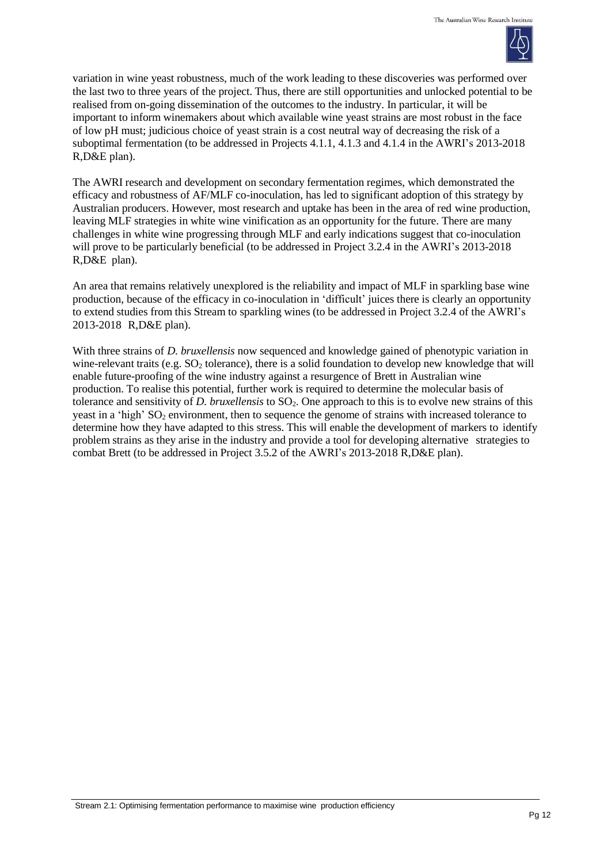

variation in wine yeast robustness, much of the work leading to these discoveries was performed over the last two to three years of the project. Thus, there are still opportunities and unlocked potential to be realised from on-going dissemination of the outcomes to the industry. In particular, it will be important to inform winemakers about which available wine yeast strains are most robust in the face of low pH must; judicious choice of yeast strain is a cost neutral way of decreasing the risk of a suboptimal fermentation (to be addressed in Projects 4.1.1, 4.1.3 and 4.1.4 in the AWRI's 2013-2018 R,D&E plan).

The AWRI research and development on secondary fermentation regimes, which demonstrated the efficacy and robustness of AF/MLF co-inoculation, has led to significant adoption of this strategy by Australian producers. However, most research and uptake has been in the area of red wine production, leaving MLF strategies in white wine vinification as an opportunity for the future. There are many challenges in white wine progressing through MLF and early indications suggest that co-inoculation will prove to be particularly beneficial (to be addressed in Project 3.2.4 in the AWRI's 2013-2018 R,D&E plan).

An area that remains relatively unexplored is the reliability and impact of MLF in sparkling base wine production, because of the efficacy in co-inoculation in 'difficult' juices there is clearly an opportunity to extend studies from this Stream to sparkling wines (to be addressed in Project 3.2.4 of the AWRI's 2013-2018 R,D&E plan).

With three strains of *D. bruxellensis* now sequenced and knowledge gained of phenotypic variation in wine-relevant traits (e.g.  $SO_2$  tolerance), there is a solid foundation to develop new knowledge that will enable future-proofing of the wine industry against a resurgence of Brett in Australian wine production. To realise this potential, further work is required to determine the molecular basis of tolerance and sensitivity of *D. bruxellensis* to SO2. One approach to this is to evolve new strains of this yeast in a 'high'  $SO_2$  environment, then to sequence the genome of strains with increased tolerance to determine how they have adapted to this stress. This will enable the development of markers to identify problem strains as they arise in the industry and provide a tool for developing alternative strategies to combat Brett (to be addressed in Project 3.5.2 of the AWRI's 2013-2018 R,D&E plan).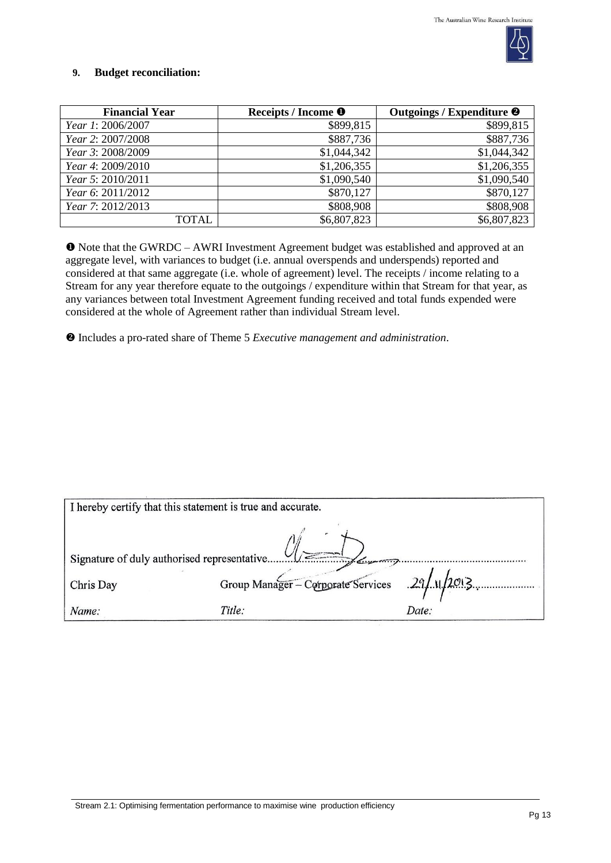

## **9. Budget reconciliation:**

| <b>Financial Year</b> | Receipts / Income <sup>O</sup> | Outgoings / Expenditure <sup>@</sup> |
|-----------------------|--------------------------------|--------------------------------------|
| Year 1: 2006/2007     | \$899,815                      | \$899,815                            |
| Year 2: 2007/2008     | \$887,736                      | \$887,736                            |
| Year 3: 2008/2009     | \$1,044,342                    | \$1,044,342                          |
| Year 4: 2009/2010     | \$1,206,355                    | \$1,206,355                          |
| Year 5: 2010/2011     | \$1,090,540                    | \$1,090,540                          |
| Year 6: 2011/2012     | \$870,127                      | \$870,127                            |
| Year 7: 2012/2013     | \$808,908                      | \$808,908                            |
| TOTAL                 | \$6,807,823                    | \$6,807,823                          |

 Note that the GWRDC – AWRI Investment Agreement budget was established and approved at an aggregate level, with variances to budget (i.e. annual overspends and underspends) reported and considered at that same aggregate (i.e. whole of agreement) level. The receipts / income relating to a Stream for any year therefore equate to the outgoings / expenditure within that Stream for that year, as any variances between total Investment Agreement funding received and total funds expended were considered at the whole of Agreement rather than individual Stream level.

Includes a pro-rated share of Theme 5 *Executive management and administration*.

| I hereby certify that this statement is true and accurate. |                                                   |       |  |
|------------------------------------------------------------|---------------------------------------------------|-------|--|
| Signature of duly authorised representative                |                                                   |       |  |
|                                                            | Group Manager - Corporate Services $29/11/2013$ . |       |  |
| Chris Day                                                  |                                                   |       |  |
| Name:                                                      | Title:                                            | Date: |  |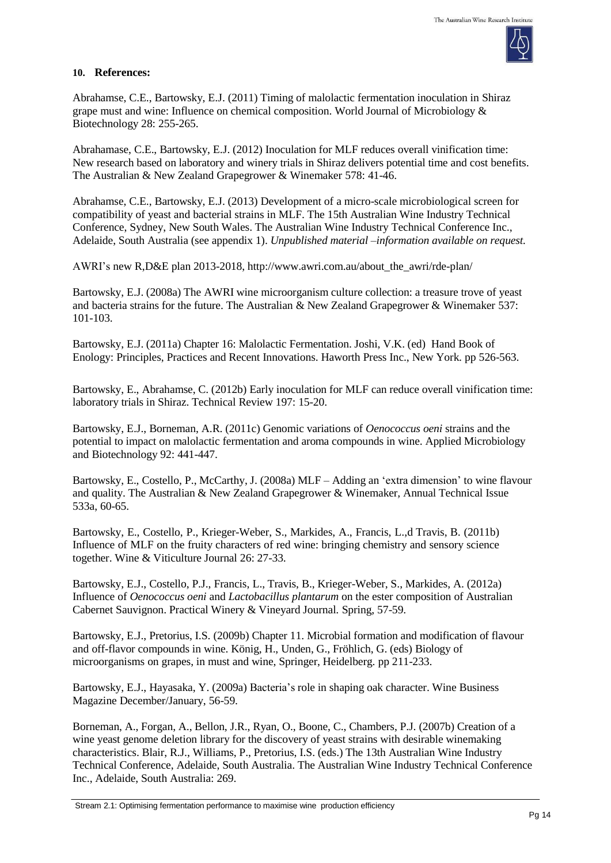

#### **10. References:**

Abrahamse, C.E., Bartowsky, E.J. (2011) Timing of malolactic fermentation inoculation in Shiraz grape must and wine: Influence on chemical composition. World Journal of Microbiology & Biotechnology 28: 255-265.

Abrahamase, C.E., Bartowsky, E.J. (2012) Inoculation for MLF reduces overall vinification time: New research based on laboratory and winery trials in Shiraz delivers potential time and cost benefits. The Australian & New Zealand Grapegrower & Winemaker 578: 41-46.

Abrahamse, C.E., Bartowsky, E.J. (2013) Development of a micro-scale microbiological screen for compatibility of yeast and bacterial strains in MLF. The 15th Australian Wine Industry Technical Conference, Sydney, New South Wales. The Australian Wine Industry Technical Conference Inc., Adelaide, South Australia (see appendix 1). *Unpublished material –information available on request.*

AWRI's new R,D&E plan 2013-2018, [http://www.awri.com.au/about\\_the\\_awri/rde-plan/](http://www.awri.com.au/about_the_awri/rde-plan/)

Bartowsky, E.J. (2008a) The AWRI wine microorganism culture collection: a treasure trove of yeast and bacteria strains for the future. The Australian & New Zealand Grapegrower & Winemaker 537: 101-103.

Bartowsky, E.J. (2011a) Chapter 16: Malolactic Fermentation. Joshi, V.K. (ed) Hand Book of Enology: Principles, Practices and Recent Innovations. Haworth Press Inc., New York. pp 526-563.

Bartowsky, E., Abrahamse, C. (2012b) Early inoculation for MLF can reduce overall vinification time: laboratory trials in Shiraz. Technical Review 197: 15-20.

Bartowsky, E.J., Borneman, A.R. (2011c) Genomic variations of *Oenococcus oeni* strains and the potential to impact on malolactic fermentation and aroma compounds in wine. Applied Microbiology and Biotechnology 92: 441-447.

Bartowsky, E., Costello, P., McCarthy, J. (2008a) MLF – Adding an 'extra dimension' to wine flavour and quality. The Australian & New Zealand Grapegrower & Winemaker*,* Annual Technical Issue 533a, 60-65.

Bartowsky, E., Costello, P., Krieger-Weber, S., Markides, A., Francis, L.,d Travis, B. (2011b) Influence of MLF on the fruity characters of red wine: bringing chemistry and sensory science together. Wine & Viticulture Journal 26: 27-33.

Bartowsky, E.J., Costello, P.J., Francis, L., Travis, B., Krieger-Weber, S., Markides, A. (2012a) Influence of *Oenococcus oeni* and *Lactobacillus plantarum* on the ester composition of Australian Cabernet Sauvignon. Practical Winery & Vineyard Journal*.* Spring, 57-59.

Bartowsky, E.J., Pretorius, I.S. (2009b) Chapter 11. Microbial formation and modification of flavour and off-flavor compounds in wine. König, H., Unden, G., Fröhlich, G. (eds) Biology of microorganisms on grapes, in must and wine, Springer, Heidelberg. pp 211-233.

Bartowsky, E.J., Hayasaka, Y. (2009a) Bacteria's role in shaping oak character. Wine Business Magazine December/January, 56-59.

Borneman, A., Forgan, A., Bellon, J.R., Ryan, O., Boone, C., Chambers, P.J. (2007b) Creation of a wine yeast genome deletion library for the discovery of yeast strains with desirable winemaking characteristics. Blair, R.J., Williams, P., Pretorius, I.S. (eds.) The 13th Australian Wine Industry Technical Conference, Adelaide, South Australia. The Australian Wine Industry Technical Conference Inc., Adelaide, South Australia: 269.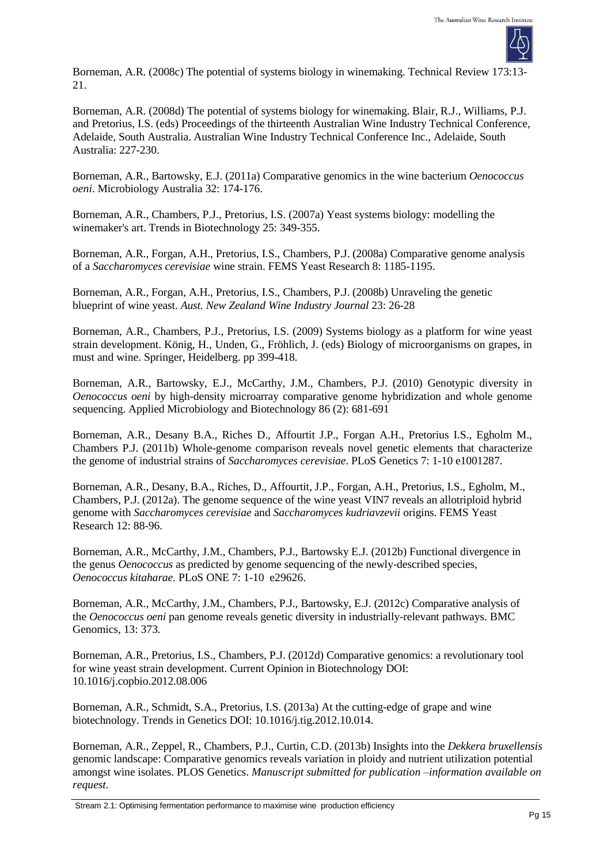

Borneman, A.R. (2008c) The potential of systems biology in winemaking. Technical Review 173:13- 21.

Borneman, A.R. (2008d) The potential of systems biology for winemaking. Blair, R.J., Williams, P.J. and Pretorius, I.S. (eds) Proceedings of the thirteenth Australian Wine Industry Technical Conference, Adelaide, South Australia. Australian Wine Industry Technical Conference Inc., Adelaide, South Australia: 227-230.

Borneman, A.R., Bartowsky, E.J. (2011a) Comparative genomics in the wine bacterium *Oenococcus oeni*. Microbiology Australia 32: 174-176.

Borneman, A.R., Chambers, P.J., Pretorius, I.S. (2007a) Yeast systems biology: modelling the winemaker's art. Trends in Biotechnology 25: 349-355.

Borneman, A.R., Forgan, A.H., Pretorius, I.S., Chambers, P.J. (2008a) Comparative genome analysis of a *Saccharomyces cerevisiae* wine strain. FEMS Yeast Research 8: 1185-1195.

Borneman, A.R., Forgan, A.H., Pretorius, I.S., Chambers, P.J. (2008b) Unraveling the genetic blueprint of wine yeast. *Aust. New Zealand Wine Industry Journal* 23: 26-28

Borneman, A.R., Chambers, P.J., Pretorius, I.S. (2009) Systems biology as a platform for wine yeast strain development. König, H., Unden, G., Fröhlich, J. (eds) Biology of microorganisms on grapes, in must and wine. Springer, Heidelberg. pp 399-418.

Borneman, A.R., Bartowsky, E.J., McCarthy, J.M., Chambers, P.J. (2010) Genotypic diversity in *Oenococcus oeni* by high-density microarray comparative genome hybridization and whole genome sequencing. Applied Microbiology and Biotechnology 86 (2): 681-691

Borneman, A.R., Desany B.A., Riches D., Affourtit J.P., Forgan A.H., Pretorius I.S., Egholm M., Chambers P.J. (2011b) Whole-genome comparison reveals novel genetic elements that characterize the genome of industrial strains of *Saccharomyces cerevisiae*. PLoS Genetics 7: 1-10 e1001287.

Borneman, A.R., Desany, B.A., Riches, D., Affourtit, J.P., Forgan, A.H., Pretorius, I.S., Egholm, M., Chambers, P.J. (2012a). The genome sequence of the wine yeast VIN7 reveals an allotriploid hybrid genome with *Saccharomyces cerevisiae* and *Saccharomyces kudriavzevii* origins. FEMS Yeast Research 12: 88-96.

Borneman, A.R., McCarthy, J.M., Chambers, P.J., Bartowsky E.J. (2012b) Functional divergence in the genus *Oenococcus* as predicted by genome sequencing of the newly-described species, *Oenococcus kitaharae.* PLoS ONE 7: 1-10 e29626.

Borneman, A.R., McCarthy, J.M., Chambers, P.J., Bartowsky, E.J. (2012c) Comparative analysis of the *Oenococcus oeni* pan genome reveals genetic diversity in industrially-relevant pathways. BMC Genomics, 13: 373.

Borneman, A.R., Pretorius, I.S., Chambers, P.J. (2012d) Comparative genomics: a revolutionary tool for wine yeast strain development. Current Opinion in Biotechnology DOI: 10.1016/j.copbio.2012.08.006

Borneman, A.R., Schmidt, S.A., Pretorius, I.S. (2013a) At the cutting-edge of grape and wine biotechnology. Trends in Genetics DOI: 10.1016/j.tig.2012.10.014.

Borneman, A.R., Zeppel, R., Chambers, P.J., Curtin, C.D. (2013b) Insights into the *Dekkera bruxellensis* genomic landscape: Comparative genomics reveals variation in ploidy and nutrient utilization potential amongst wine isolates. PLOS Genetics. *Manuscript submitted for publication –information available on request.*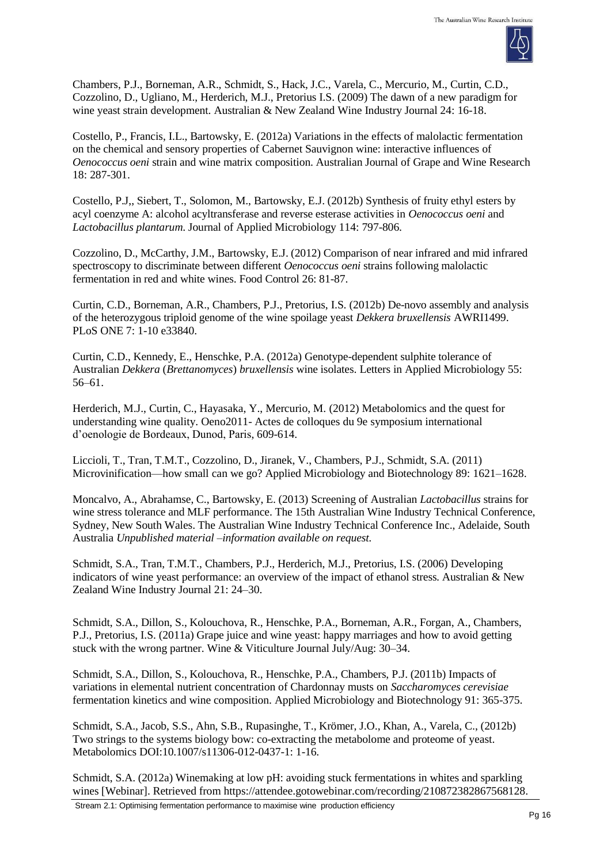

Chambers, P.J., Borneman, A.R., Schmidt, S., Hack, J.C., Varela, C., Mercurio, M., Curtin, C.D., Cozzolino, D., Ugliano, M., Herderich, M.J., Pretorius I.S. (2009) The dawn of a new paradigm for wine yeast strain development. Australian & New Zealand Wine Industry Journal 24: 16-18.

Costello, P., Francis, I.L., Bartowsky, E. (2012a) Variations in the effects of malolactic fermentation on the chemical and sensory properties of Cabernet Sauvignon wine: interactive influences of *Oenococcus oeni* strain and wine matrix composition. Australian Journal of Grape and Wine Research 18: 287-301.

Costello, P.J,, Siebert, T., Solomon, M., Bartowsky, E.J. (2012b) Synthesis of fruity ethyl esters by acyl coenzyme A: alcohol acyltransferase and reverse esterase activities in *Oenococcus oeni* and *Lactobacillus plantarum*. Journal of Applied Microbiology 114: 797-806.

Cozzolino, D., McCarthy, J.M., Bartowsky, E.J. (2012) Comparison of near infrared and mid infrared spectroscopy to discriminate between different *Oenococcus oeni* strains following malolactic fermentation in red and white wines. Food Control 26: 81-87.

Curtin, C.D., Borneman, A.R., Chambers, P.J., Pretorius, I.S. (2012b) De-novo assembly and analysis of the heterozygous triploid genome of the wine spoilage yeast *Dekkera bruxellensis* AWRI1499. PLoS ONE 7: 1-10 e33840.

Curtin, C.D., Kennedy, E., Henschke, P.A. (2012a) Genotype-dependent sulphite tolerance of Australian *Dekkera* (*Brettanomyces*) *bruxellensis* wine isolates. Letters in Applied Microbiology 55: 56–61.

Herderich, M.J., Curtin, C., Hayasaka, Y., Mercurio, M. (2012) Metabolomics and the quest for understanding wine quality. Oeno2011- Actes de colloques du 9e symposium international d'oenologie de Bordeaux, Dunod, Paris, 609-614.

Liccioli, T., Tran, T.M.T., Cozzolino, D., Jiranek, V., Chambers, P.J., Schmidt, S.A. (2011) Microvinification—how small can we go? Applied Microbiology and Biotechnology 89: 1621–1628.

Moncalvo, A., Abrahamse, C., Bartowsky, E. (2013) Screening of Australian *Lactobacillus* strains for wine stress tolerance and MLF performance. The 15th Australian Wine Industry Technical Conference, Sydney, New South Wales. The Australian Wine Industry Technical Conference Inc., Adelaide, South Australia *Unpublished material –information available on request.*

Schmidt, S.A., Tran, T.M.T., Chambers, P.J., Herderich, M.J., Pretorius, I.S. (2006) Developing indicators of wine yeast performance: an overview of the impact of ethanol stress*.* Australian & New Zealand Wine Industry Journal 21: 24–30.

Schmidt, S.A., Dillon, S., Kolouchova, R., Henschke, P.A., Borneman, A.R., Forgan, A., Chambers, P.J., Pretorius, I.S. (2011a) Grape juice and wine yeast: happy marriages and how to avoid getting stuck with the wrong partner. Wine & Viticulture Journal July/Aug: 30–34.

Schmidt, S.A., Dillon, S., Kolouchova, R., Henschke, P.A., Chambers, P.J. (2011b) Impacts of variations in elemental nutrient concentration of Chardonnay musts on *Saccharomyces cerevisiae* fermentation kinetics and wine composition. Applied Microbiology and Biotechnology 91: 365-375.

Schmidt, S.A., Jacob, S.S., Ahn, S.B., Rupasinghe, T., Krömer, J.O., Khan, A., Varela, C., (2012b) Two strings to the systems biology bow: co-extracting the metabolome and proteome of yeast. Metabolomics DOI:10.1007/s11306-012-0437-1: 1-16.

Schmidt, S.A. (2012a) Winemaking at low pH: avoiding stuck fermentations in whites and sparkling wines [Webinar]. Retrieved from [https://attendee.gotowebinar.com/recording/210872382867568128.](https://attendee.gotowebinar.com/recording/210872382867568128)